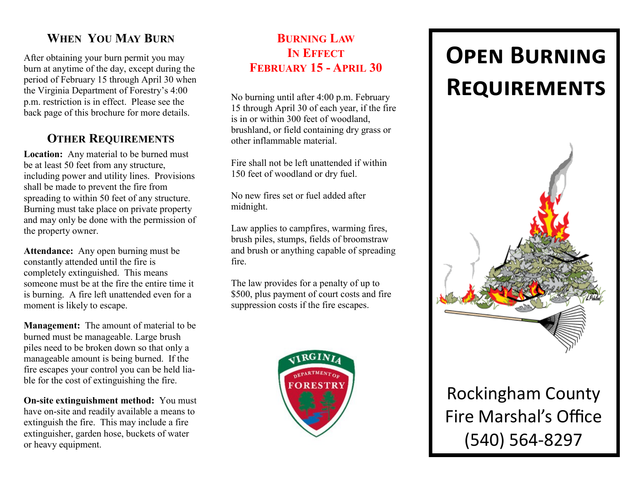# **WHEN YOU MAY BURN**

After obtaining your burn permit you may burn at anytime of the day, except during the period of February 15 through April 30 when the Virginia Department of Forestry's 4:00 p.m. restriction is in effect. Please see the back page of this brochure for more details.

## **OTHER REQUIREMENTS**

**Location:** Any material to be burned must be at least 50 feet from any structure, including power and utility lines. Provisions shall be made to prevent the fire from spreading to within 50 feet of any structure. Burning must take place on private property and may only be done with the permission of the property owner.

**Attendance:** Any open burning must be constantly attended until the fire is completely extinguished. This means someone must be at the fire the entire time it is burning. A fire left unattended even for a moment is likely to escape.

**Management:** The amount of material to be burned must be manageable. Large brush piles need to be broken down so that only a manageable amount is being burned. If the fire escapes your control you can be held liable for the cost of extinguishing the fire.

**On-site extinguishment method:** You must have on-site and readily available a means to extinguish the fire. This may include a fire extinguisher, garden hose, buckets of water or heavy equipment.

## **BURNING LAW IN EFFECT FEBRUARY 15 - APRIL 30**

No burning until after 4:00 p.m. February 15 through April 30 of each year, if the fire is in or within 300 feet of woodland, brushland, or field containing dry grass or other inflammable material.

Fire shall not be left unattended if within 150 feet of woodland or dry fuel.

No new fires set or fuel added after midnight.

Law applies to campfires, warming fires, brush piles, stumps, fields of broomstraw and brush or anything capable of spreading fire.

The law provides for a penalty of up to \$500, plus payment of court costs and fire suppression costs if the fire escapes.



# **Open Burning Requirements**



Rockingham County Fire Marshal's Office (540) 564-8297